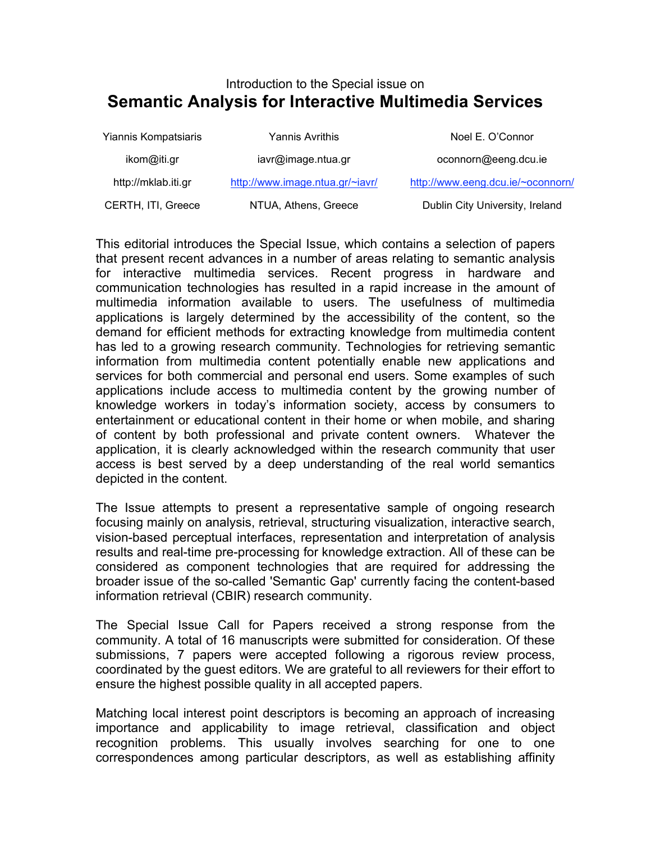## Introduction to the Special issue on **Semantic Analysis for Interactive Multimedia Services**

| Yiannis Kompatsiaris | Yannis Avrithis                 | Noel E. O'Connor                  |
|----------------------|---------------------------------|-----------------------------------|
| ikom@iti.gr          | iavr@image.ntua.gr              | oconnorn@eeng.dcu.ie              |
| http://mklab.iti.gr  | http://www.image.ntua.gr/~iavr/ | http://www.eeng.dcu.ie/~oconnorn/ |
| CERTH, ITI, Greece   | NTUA, Athens, Greece            | Dublin City University, Ireland   |

This editorial introduces the Special Issue, which contains a selection of papers that present recent advances in a number of areas relating to semantic analysis for interactive multimedia services. Recent progress in hardware and communication technologies has resulted in a rapid increase in the amount of multimedia information available to users. The usefulness of multimedia applications is largely determined by the accessibility of the content, so the demand for efficient methods for extracting knowledge from multimedia content has led to a growing research community. Technologies for retrieving semantic information from multimedia content potentially enable new applications and services for both commercial and personal end users. Some examples of such applications include access to multimedia content by the growing number of knowledge workers in today's information society, access by consumers to entertainment or educational content in their home or when mobile, and sharing of content by both professional and private content owners. Whatever the application, it is clearly acknowledged within the research community that user access is best served by a deep understanding of the real world semantics depicted in the content.

The Issue attempts to present a representative sample of ongoing research focusing mainly on analysis, retrieval, structuring visualization, interactive search, vision-based perceptual interfaces, representation and interpretation of analysis results and real-time pre-processing for knowledge extraction. All of these can be considered as component technologies that are required for addressing the broader issue of the so-called 'Semantic Gap' currently facing the content-based information retrieval (CBIR) research community.

The Special Issue Call for Papers received a strong response from the community. A total of 16 manuscripts were submitted for consideration. Of these submissions, 7 papers were accepted following a rigorous review process, coordinated by the guest editors. We are grateful to all reviewers for their effort to ensure the highest possible quality in all accepted papers.

Matching local interest point descriptors is becoming an approach of increasing importance and applicability to image retrieval, classification and object recognition problems. This usually involves searching for one to one correspondences among particular descriptors, as well as establishing affinity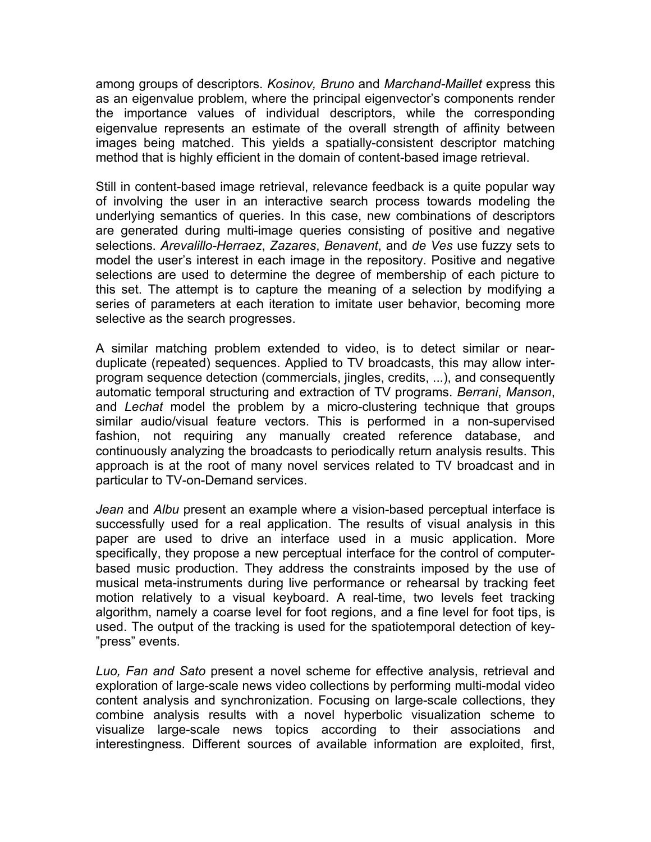among groups of descriptors. *Kosinov, Bruno* and *Marchand-Maillet* express this as an eigenvalue problem, where the principal eigenvector's components render the importance values of individual descriptors, while the corresponding eigenvalue represents an estimate of the overall strength of affinity between images being matched. This yields a spatially-consistent descriptor matching method that is highly efficient in the domain of content-based image retrieval.

Still in content-based image retrieval, relevance feedback is a quite popular way of involving the user in an interactive search process towards modeling the underlying semantics of queries. In this case, new combinations of descriptors are generated during multi-image queries consisting of positive and negative selections. *Arevalillo-Herraez*, *Zazares*, *Benavent*, and *de Ves* use fuzzy sets to model the user's interest in each image in the repository. Positive and negative selections are used to determine the degree of membership of each picture to this set. The attempt is to capture the meaning of a selection by modifying a series of parameters at each iteration to imitate user behavior, becoming more selective as the search progresses.

A similar matching problem extended to video, is to detect similar or nearduplicate (repeated) sequences. Applied to TV broadcasts, this may allow interprogram sequence detection (commercials, jingles, credits, ...), and consequently automatic temporal structuring and extraction of TV programs. *Berrani*, *Manson*, and *Lechat* model the problem by a micro-clustering technique that groups similar audio/visual feature vectors. This is performed in a non-supervised fashion, not requiring any manually created reference database, and continuously analyzing the broadcasts to periodically return analysis results. This approach is at the root of many novel services related to TV broadcast and in particular to TV-on-Demand services.

*Jean* and *Albu* present an example where a vision-based perceptual interface is successfully used for a real application. The results of visual analysis in this paper are used to drive an interface used in a music application. More specifically, they propose a new perceptual interface for the control of computerbased music production. They address the constraints imposed by the use of musical meta-instruments during live performance or rehearsal by tracking feet motion relatively to a visual keyboard. A real-time, two levels feet tracking algorithm, namely a coarse level for foot regions, and a fine level for foot tips, is used. The output of the tracking is used for the spatiotemporal detection of key- "press" events.

*Luo, Fan and Sato* present a novel scheme for effective analysis, retrieval and exploration of large-scale news video collections by performing multi-modal video content analysis and synchronization. Focusing on large-scale collections, they combine analysis results with a novel hyperbolic visualization scheme to visualize large-scale news topics according to their associations and interestingness. Different sources of available information are exploited, first,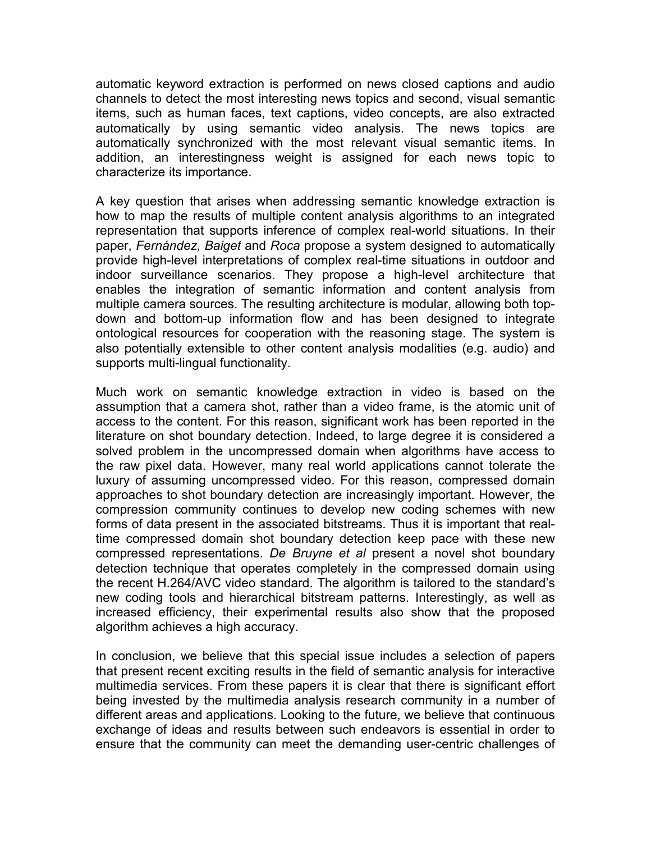automatic keyword extraction is performed on news closed captions and audio channels to detect the most interesting news topics and second, visual semantic items, such as human faces, text captions, video concepts, are also extracted automatically by using semantic video analysis. The news topics are automatically synchronized with the most relevant visual semantic items. In addition, an interestingness weight is assigned for each news topic to characterize its importance.

A key question that arises when addressing semantic knowledge extraction is how to map the results of multiple content analysis algorithms to an integrated representation that supports inference of complex real-world situations. In their paper, *Fernández, Baiget* and *Roca* propose a system designed to automatically provide high-level interpretations of complex real-time situations in outdoor and indoor surveillance scenarios. They propose a high-level architecture that enables the integration of semantic information and content analysis from multiple camera sources. The resulting architecture is modular, allowing both topdown and bottom-up information flow and has been designed to integrate ontological resources for cooperation with the reasoning stage. The system is also potentially extensible to other content analysis modalities (e.g. audio) and supports multi-lingual functionality.

Much work on semantic knowledge extraction in video is based on the assumption that a camera shot, rather than a video frame, is the atomic unit of access to the content. For this reason, significant work has been reported in the literature on shot boundary detection. Indeed, to large degree it is considered a solved problem in the uncompressed domain when algorithms have access to the raw pixel data. However, many real world applications cannot tolerate the luxury of assuming uncompressed video. For this reason, compressed domain approaches to shot boundary detection are increasingly important. However, the compression community continues to develop new coding schemes with new forms of data present in the associated bitstreams. Thus it is important that realtime compressed domain shot boundary detection keep pace with these new compressed representations. *De Bruyne et al* present a novel shot boundary detection technique that operates completely in the compressed domain using the recent H.264/AVC video standard. The algorithm is tailored to the standard's new coding tools and hierarchical bitstream patterns. Interestingly, as well as increased efficiency, their experimental results also show that the proposed algorithm achieves a high accuracy.

In conclusion, we believe that this special issue includes a selection of papers that present recent exciting results in the field of semantic analysis for interactive multimedia services. From these papers it is clear that there is significant effort being invested by the multimedia analysis research community in a number of different areas and applications. Looking to the future, we believe that continuous exchange of ideas and results between such endeavors is essential in order to ensure that the community can meet the demanding user-centric challenges of